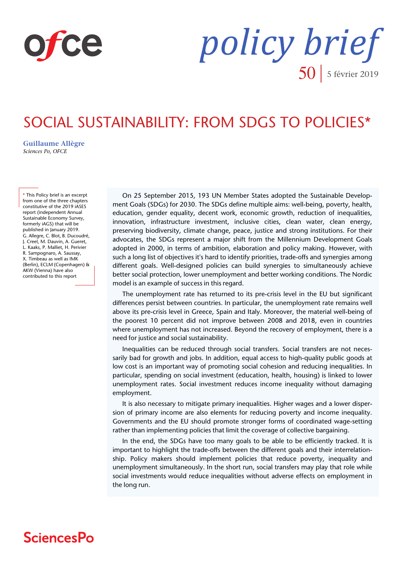

*policy brief*  $50$  | 5 février 2019

# SOCIAL SUSTAINABILITY: FROM SDGS TO POLICIES\*

**[Guillaume Allègre](https://www.ofce.sciences-po.fr/pages-chercheurs/page.php?id=1)** *Sciences Po, OFCE*

**\*** This Policy brief is an excerpt from one of the three chapters constitutive of the 2019 iASES report (independent Annual Sustainable Economy Survey, formerly iAGS) that will be published in January 2019. G. Allegre, C. Blot, B. Ducoudré, J. Creel, M. Dauvin, A. Gueret, L. Kaaks, P. Malliet, H. Perivier R. Sampognaro, A. Saussay, X. Timbeau as well as IMK (Berlin), ECLM (Copenhagen) & AKW (Vienna) have also contributed to this report

On 25 September 2015, 193 UN Member States adopted the Sustainable Development Goals (SDGs) for 2030. The SDGs define multiple aims: well-being, poverty, health, education, gender equality, decent work, economic growth, reduction of inequalities, innovation, infrastructure investment, inclusive cities, clean water, clean energy, preserving biodiversity, climate change, peace, justice and strong institutions. For their advocates, the SDGs represent a major shift from the Millennium Development Goals adopted in 2000, in terms of ambition, elaboration and policy making. However, with such a long list of objectives it's hard to identify priorities, trade-offs and synergies among different goals. Well-designed policies can build synergies to simultaneously achieve better social protection, lower unemployment and better working conditions. The Nordic model is an example of success in this regard.

The unemployment rate has returned to its pre-crisis level in the EU but significant differences persist between countries. In particular, the unemployment rate remains well above its pre-crisis level in Greece, Spain and Italy. Moreover, the material well-being of the poorest 10 percent did not improve between 2008 and 2018, even in countries where unemployment has not increased. Beyond the recovery of employment, there is a need for justice and social sustainability.

Inequalities can be reduced through social transfers. Social transfers are not necessarily bad for growth and jobs. In addition, equal access to high-quality public goods at low cost is an important way of promoting social cohesion and reducing inequalities. In particular, spending on social investment (education, health, housing) is linked to lower unemployment rates. Social investment reduces income inequality without damaging employment.

It is also necessary to mitigate primary inequalities. Higher wages and a lower dispersion of primary income are also elements for reducing poverty and income inequality. Governments and the EU should promote stronger forms of coordinated wage-setting rather than implementing policies that limit the coverage of collective bargaining.

In the end, the SDGs have too many goals to be able to be efficiently tracked. It is important to highlight the trade-offs between the different goals and their interrelationship. Policy makers should implement policies that reduce poverty, inequality and unemployment simultaneously. In the short run, social transfers may play that role while social investments would reduce inequalities without adverse effects on employment in the long run.

# **SciencesPo**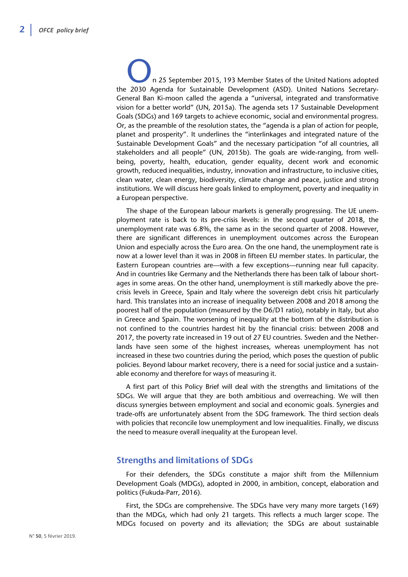n 25 September 2015, 193 Member States of the United Nations adopted the 2030 Agenda for Sustainable Development (ASD). United Nations Secretary-General Ban Ki-moon called the agenda a "universal, integrated and transformative vision for a better world" (UN, 2015a). The agenda sets 17 Sustainable Development Goals (SDGs) and 169 targets to achieve economic, social and environmental progress. Or, as the preamble of the resolution states, the "agenda is a plan of action for people, planet and prosperity". It underlines the "interlinkages and integrated nature of the Sustainable Development Goals" and the necessary participation "of all countries, all stakeholders and all people" (UN, 2015b). The goals are wide-ranging, from wellbeing, poverty, health, education, gender equality, decent work and economic growth, reduced inequalities, industry, innovation and infrastructure, to inclusive cities, clean water, clean energy, biodiversity, climate change and peace, justice and strong institutions. We will discuss here goals linked to employment, poverty and inequality in a European perspective.

The shape of the European labour markets is generally progressing. The UE unemployment rate is back to its pre-crisis levels: in the second quarter of 2018, the unemployment rate was 6.8%, the same as in the second quarter of 2008. However, there are significant differences in unemployment outcomes across the European Union and especially across the Euro area. On the one hand, the unemployment rate is now at a lower level than it was in 2008 in fifteen EU member states. In particular, the Eastern European countries are—with a few exceptions—running near full capacity. And in countries like Germany and the Netherlands there has been talk of labour shortages in some areas. On the other hand, unemployment is still markedly above the precrisis levels in Greece, Spain and Italy where the sovereign debt crisis hit particularly hard. This translates into an increase of inequality between 2008 and 2018 among the poorest half of the population (measured by the D6/D1 ratio), notably in Italy, but also in Greece and Spain. The worsening of inequality at the bottom of the distribution is not confined to the countries hardest hit by the financial crisis: between 2008 and 2017, the poverty rate increased in 19 out of 27 EU countries. Sweden and the Netherlands have seen some of the highest increases, whereas unemployment has not increased in these two countries during the period, which poses the question of public policies. Beyond labour market recovery, there is a need for social justice and a sustainable economy and therefore for ways of measuring it.

A first part of this Policy Brief will deal with the strengths and limitations of the SDGs. We will argue that they are both ambitious and overreaching. We will then discuss synergies between employment and social and economic goals. Synergies and trade-offs are unfortunately absent from the SDG framework. The third section deals with policies that reconcile low unemployment and low inequalities. Finally, we discuss the need to measure overall inequality at the European level.

# **Strengths and limitations of SDGs**

For their defenders, the SDGs constitute a major shift from the Millennium Development Goals (MDGs), adopted in 2000, in ambition, concept, elaboration and politics (Fukuda-Parr, 2016).

First, the SDGs are comprehensive. The SDGs have very many more targets (169) than the MDGs, which had only 21 targets. This reflects a much larger scope. The MDGs focused on poverty and its alleviation; the SDGs are about sustainable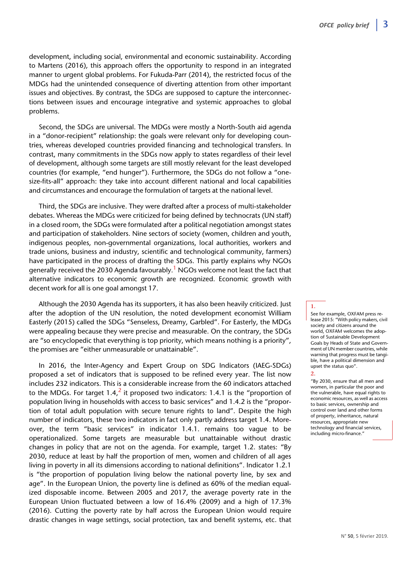development, including social, environmental and economic sustainability. According to Martens (2016), this approach offers the opportunity to respond in an integrated manner to urgent global problems. For Fukuda-Parr (2014), the restricted focus of the MDGs had the unintended consequence of diverting attention from other important issues and objectives. By contrast, the SDGs are supposed to capture the interconnections between issues and encourage integrative and systemic approaches to global problems.

Second, the SDGs are universal. The MDGs were mostly a North-South aid agenda in a "donor-recipient" relationship: the goals were relevant only for developing countries, whereas developed countries provided financing and technological transfers. In contrast, many commitments in the SDGs now apply to states regardless of their level of development, although some targets are still mostly relevant for the least developed countries (for example, "end hunger"). Furthermore, the SDGs do not follow a "onesize-fits-all" approach: they take into account different national and local capabilities and circumstances and encourage the formulation of targets at the national level.

Third, the SDGs are inclusive. They were drafted after a process of multi-stakeholder debates. Whereas the MDGs were criticized for being defined by technocrats (UN staff) in a closed room, the SDGs were formulated after a political negotiation amongst states and participation of stakeholders. Nine sectors of society (women, children and youth, indigenous peoples, non-governmental organizations, local authorities, workers and trade unions, business and industry, scientific and technological community, farmers) have participated in the process of drafting the SDGs. This partly explains why NGOs generally received the 2030 Agenda favourably.<sup>1</sup> NGOs welcome not least the fact that alternative indicators to economic growth are recognized. Economic growth with decent work for all is one goal amongst 17.

Although the 2030 Agenda has its supporters, it has also been heavily criticized. Just after the adoption of the UN resolution, the noted development economist William Easterly (2015) called the SDGs "Senseless, Dreamy, Garbled". For Easterly, the MDGs were appealing because they were precise and measurable. On the contrary, the SDGs are "so encyclopedic that everything is top priority, which means nothing is a priority", the promises are "either unmeasurable or unattainable".

In 2016, the Inter-Agency and Expert Group on SDG Indicators (IAEG-SDGs) proposed a set of indicators that is supposed to be refined every year. The list now includes 232 indicators. This is a considerable increase from the 60 indicators attached to the MDGs. For target  $1.4<sup>2</sup>$  it proposed two indicators: 1.4.1 is the "proportion of population living in households with access to basic services" and 1.4.2 is the "proportion of total adult population with secure tenure rights to land". Despite the high number of indicators, these two indicators in fact only partly address target 1.4. Moreover, the term "basic services" in indicator 1.4.1. remains too vague to be operationalized. Some targets are measurable but unattainable without drastic changes in policy that are not on the agenda. For example, target 1.2. states: "By 2030, reduce at least by half the proportion of men, women and children of all ages living in poverty in all its dimensions according to national definitions". Indicator 1.2.1 is "the proportion of population living below the national poverty line, by sex and age". In the European Union, the poverty line is defined as 60% of the median equalized disposable income. Between 2005 and 2017, the average poverty rate in the European Union fluctuated between a low of 16.4% (2009) and a high of 17.3% (2016). Cutting the poverty rate by half across the European Union would require drastic changes in wage settings, social protection, tax and benefit systems, etc. that

#### **1.**

See for example, OXFAM press release 2015: "With policy makers, civil society and citizens around the world. OXFAM welcomes the adoption of Sustainable Development Goals by Heads of State and Government of UN member countries, while warning that progress must be tangible, have a political dimension and upset the status quo".

#### **2.**

"By 2030, ensure that all men and women, in particular the poor and the vulnerable, have equal rights to economic resources, as well as access to basic services, ownership and control over land and other forms of property, inheritance, natural resources, appropriate new technology and financial services, including micro-finance."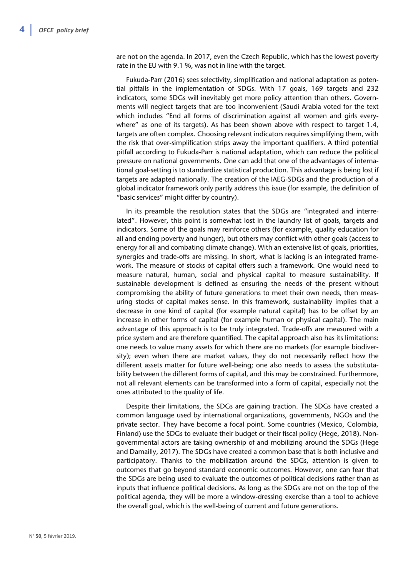are not on the agenda. In 2017, even the Czech Republic, which has the lowest poverty rate in the EU with 9.1 %, was not in line with the target.

Fukuda-Parr (2016) sees selectivity, simplification and national adaptation as potential pitfalls in the implementation of SDGs. With 17 goals, 169 targets and 232 indicators, some SDGs will inevitably get more policy attention than others. Governments will neglect targets that are too inconvenient (Saudi Arabia voted for the text which includes "End all forms of discrimination against all women and girls everywhere" as one of its targets). As has been shown above with respect to target 1.4, targets are often complex. Choosing relevant indicators requires simplifying them, with the risk that over-simplification strips away the important qualifiers. A third potential pitfall according to Fukuda-Parr is national adaptation, which can reduce the political pressure on national governments. One can add that one of the advantages of international goal-setting is to standardize statistical production. This advantage is being lost if targets are adapted nationally. The creation of the IAEG-SDGs and the production of a global indicator framework only partly address this issue (for example, the definition of "basic services" might differ by country).

In its preamble the resolution states that the SDGs are "integrated and interrelated". However, this point is somewhat lost in the laundry list of goals, targets and indicators. Some of the goals may reinforce others (for example, quality education for all and ending poverty and hunger), but others may conflict with other goals (access to energy for all and combating climate change). With an extensive list of goals, priorities, synergies and trade-offs are missing. In short, what is lacking is an integrated framework. The measure of stocks of capital offers such a framework. One would need to measure natural, human, social and physical capital to measure sustainability. If sustainable development is defined as ensuring the needs of the present without compromising the ability of future generations to meet their own needs, then measuring stocks of capital makes sense. In this framework, sustainability implies that a decrease in one kind of capital (for example natural capital) has to be offset by an increase in other forms of capital (for example human or physical capital). The main advantage of this approach is to be truly integrated. Trade-offs are measured with a price system and are therefore quantified. The capital approach also has its limitations: one needs to value many assets for which there are no markets (for example biodiversity); even when there are market values, they do not necessarily reflect how the different assets matter for future well-being; one also needs to assess the substitutability between the different forms of capital, and this may be constrained. Furthermore, not all relevant elements can be transformed into a form of capital, especially not the ones attributed to the quality of life.

Despite their limitations, the SDGs are gaining traction. The SDGs have created a common language used by international organizations, governments, NGOs and the private sector. They have become a focal point. Some countries (Mexico, Colombia, Finland) use the SDGs to evaluate their budget or their fiscal policy (Hege, 2018). Nongovernmental actors are taking ownership of and mobilizing around the SDGs (Hege and Damailly, 2017). The SDGs have created a common base that is both inclusive and participatory. Thanks to the mobilization around the SDGs, attention is given to outcomes that go beyond standard economic outcomes. However, one can fear that the SDGs are being used to evaluate the outcomes of political decisions rather than as inputs that influence political decisions. As long as the SDGs are not on the top of the political agenda, they will be more a window-dressing exercise than a tool to achieve the overall goal, which is the well-being of current and future generations.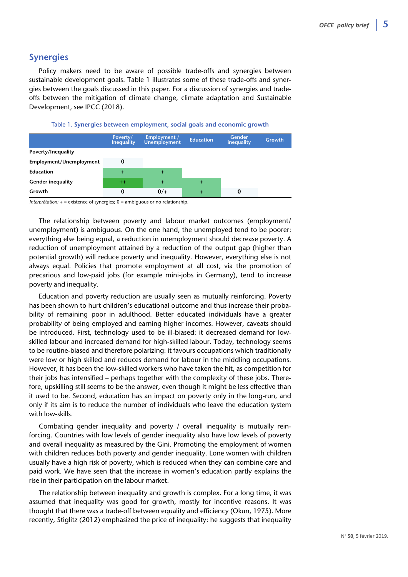## **Synergies**

Policy makers need to be aware of possible trade-offs and synergies between sustainable development goals. Table 1 illustrates some of these trade-offs and synergies between the goals discussed in this paper. For a discussion of synergies and tradeoffs between the mitigation of climate change, climate adaptation and Sustainable Development, see IPCC (2018).



|                          | Poverty/<br><b>Inequality</b> | Employment /<br><b>Unemployment</b> | <b>Education</b> | <b>Gender</b><br>inequality | <b>Growth</b> |
|--------------------------|-------------------------------|-------------------------------------|------------------|-----------------------------|---------------|
| Poverty/Inequality       |                               |                                     |                  |                             |               |
| Employment/Unemployment  |                               |                                     |                  |                             |               |
| <b>Education</b>         | $\ddot{}$                     | $\pm$                               |                  |                             |               |
| <b>Gender inequality</b> | $^{++}$                       | $\pm$                               | $+$              |                             |               |
| Growth                   | 0                             | $0/+$                               | $+$              | 0                           |               |

*Interprétation:* + = existence of synergies; 0 = ambiguous or no relationship.

The relationship between poverty and labour market outcomes (employment/ unemployment) is ambiguous. On the one hand, the unemployed tend to be poorer: everything else being equal, a reduction in unemployment should decrease poverty. A reduction of unemployment attained by a reduction of the output gap (higher than potential growth) will reduce poverty and inequality. However, everything else is not always equal. Policies that promote employment at all cost, via the promotion of precarious and low-paid jobs (for example mini-jobs in Germany), tend to increase poverty and inequality.

Education and poverty reduction are usually seen as mutually reinforcing. Poverty has been shown to hurt children's educational outcome and thus increase their probability of remaining poor in adulthood. Better educated individuals have a greater probability of being employed and earning higher incomes. However, caveats should be introduced. First, technology used to be ill-biased: it decreased demand for lowskilled labour and increased demand for high-skilled labour. Today, technology seems to be routine-biased and therefore polarizing: it favours occupations which traditionally were low or high skilled and reduces demand for labour in the middling occupations. However, it has been the low-skilled workers who have taken the hit, as competition for their jobs has intensified – perhaps together with the complexity of these jobs. Therefore, upskilling still seems to be the answer, even though it might be less effective than it used to be. Second, education has an impact on poverty only in the long-run, and only if its aim is to reduce the number of individuals who leave the education system with low-skills.

Combating gender inequality and poverty / overall inequality is mutually reinforcing. Countries with low levels of gender inequality also have low levels of poverty and overall inequality as measured by the Gini. Promoting the employment of women with children reduces both poverty and gender inequality. Lone women with children usually have a high risk of poverty, which is reduced when they can combine care and paid work. We have seen that the increase in women's education partly explains the rise in their participation on the labour market.

The relationship between inequality and growth is complex. For a long time, it was assumed that inequality was good for growth, mostly for incentive reasons. It was thought that there was a trade-off between equality and efficiency (Okun, 1975). More recently, Stiglitz (2012) emphasized the price of inequality: he suggests that inequality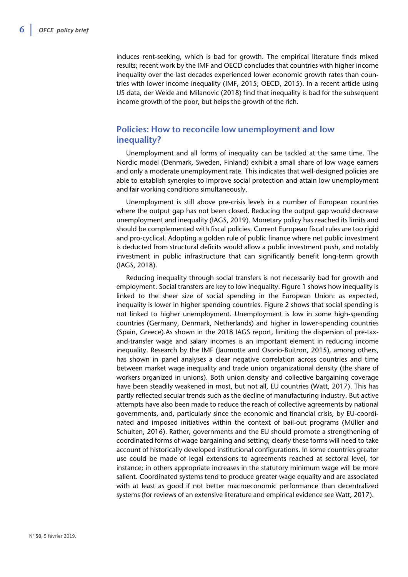induces rent-seeking, which is bad for growth. The empirical literature finds mixed results; recent work by the IMF and OECD concludes that countries with higher income inequality over the last decades experienced lower economic growth rates than countries with lower income inequality (IMF, 2015; OECD, 2015). In a recent article using US data, der Weide and Milanovic (2018) find that inequality is bad for the subsequent income growth of the poor, but helps the growth of the rich.

# **Policies: How to reconcile low unemployment and low inequality?**

Unemployment and all forms of inequality can be tackled at the same time. The Nordic model (Denmark, Sweden, Finland) exhibit a small share of low wage earners and only a moderate unemployment rate. This indicates that well-designed policies are able to establish synergies to improve social protection and attain low unemployment and fair working conditions simultaneously.

Unemployment is still above pre-crisis levels in a number of European countries where the output gap has not been closed. Reducing the output gap would decrease unemployment and inequality (IAGS, 2019). Monetary policy has reached its limits and should be complemented with fiscal policies. Current European fiscal rules are too rigid and pro-cyclical. Adopting a golden rule of public finance where net public investment is deducted from structural deficits would allow a public investment push, and notably investment in public infrastructure that can significantly benefit long-term growth (IAGS, 2018).

Reducing inequality through social transfers is not necessarily bad for growth and employment. Social transfers are key to low inequality. Figure 1 shows how inequality is linked to the sheer size of social spending in the European Union: as expected, inequality is lower in higher spending countries. Figure 2 shows that social spending is not linked to higher unemployment. Unemployment is low in some high-spending countries (Germany, Denmark, Netherlands) and higher in lower-spending countries (Spain, Greece).As shown in the 2018 IAGS report, limiting the dispersion of pre-taxand-transfer wage and salary incomes is an important element in reducing income inequality. Research by the IMF (Jaumotte and Osorio-Buitron, 2015), among others, has shown in panel analyses a clear negative correlation across countries and time between market wage inequality and trade union organizational density (the share of workers organized in unions). Both union density and collective bargaining coverage have been steadily weakened in most, but not all, EU countries (Watt, 2017). This has partly reflected secular trends such as the decline of manufacturing industry. But active attempts have also been made to reduce the reach of collective agreements by national governments, and, particularly since the economic and financial crisis, by EU-coordinated and imposed initiatives within the context of bail-out programs (Müller and Schulten, 2016). Rather, governments and the EU should promote a strengthening of coordinated forms of wage bargaining and setting; clearly these forms will need to take account of historically developed institutional configurations. In some countries greater use could be made of legal extensions to agreements reached at sectoral level, for instance; in others appropriate increases in the statutory minimum wage will be more salient. Coordinated systems tend to produce greater wage equality and are associated with at least as good if not better macroeconomic performance than decentralized systems (for reviews of an extensive literature and empirical evidence see Watt, 2017).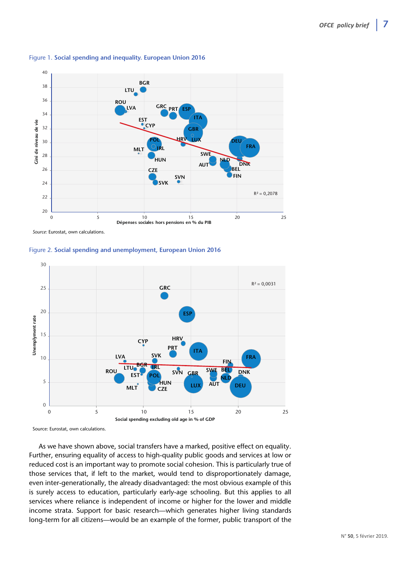

#### Figure 1. **Social spending and inequality. European Union 2016**

*Source:* Eurostat, own calculations.





Source: Eurostat, own calculations.

As we have shown above, social transfers have a marked, positive effect on equality. Further, ensuring equality of access to high-quality public goods and services at low or reduced cost is an important way to promote social cohesion. This is particularly true of those services that, if left to the market, would tend to disproportionately damage, even inter-generationally, the already disadvantaged: the most obvious example of this is surely access to education, particularly early-age schooling. But this applies to all services where reliance is independent of income or higher for the lower and middle income strata. Support for basic research—which generates higher living standards long-term for all citizens—would be an example of the former, public transport of the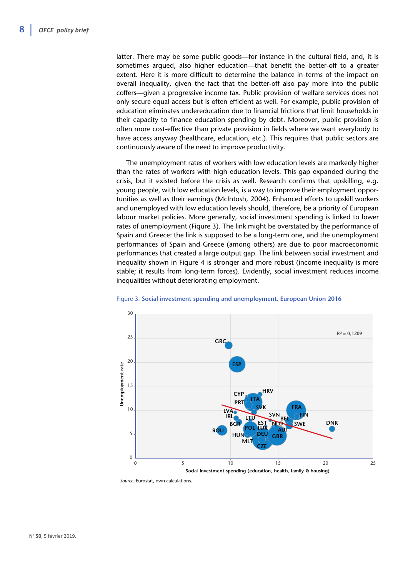latter. There may be some public goods—for instance in the cultural field, and, it is sometimes argued, also higher education—that benefit the better-off to a greater extent. Here it is more difficult to determine the balance in terms of the impact on overall inequality, given the fact that the better-off also pay more into the public coffers—given a progressive income tax. Public provision of welfare services does not only secure equal access but is often efficient as well. For example, public provision of education eliminates undereducation due to financial frictions that limit households in their capacity to finance education spending by debt. Moreover, public provision is often more cost-effective than private provision in fields where we want everybody to have access anyway (healthcare, education, etc.). This requires that public sectors are continuously aware of the need to improve productivity.

The unemployment rates of workers with low education levels are markedly higher than the rates of workers with high education levels. This gap expanded during the crisis, but it existed before the crisis as well. Research confirms that upskilling, e.g. young people, with low education levels, is a way to improve their employment opportunities as well as their earnings (McIntosh, 2004). Enhanced efforts to upskill workers and unemployed with low education levels should, therefore, be a priority of European labour market policies. More generally, social investment spending is linked to lower rates of unemployment (Figure 3). The link might be overstated by the performance of Spain and Greece: the link is supposed to be a long-term one, and the unemployment performances of Spain and Greece (among others) are due to poor macroeconomic performances that created a large output gap. The link between social investment and inequality shown in Figure 4 is stronger and more robust (income inequality is more stable; it results from long-term forces). Evidently, social investment reduces income inequalities without deteriorating employment.



#### Figure 3. **Social investment spending and unemployment, European Union 2016**

*Source:* Eurostat, own calculations.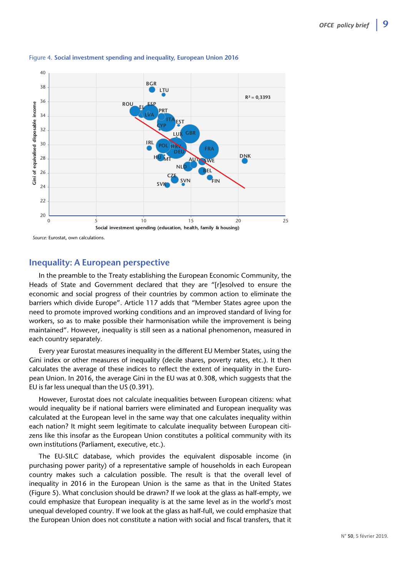

#### Figure 4. **Social investment spending and inequality, European Union 2016**

*Source:* Eurostat, own calculations.

## **Inequality: A European perspective**

In the preamble to the Treaty establishing the European Economic Community, the Heads of State and Government declared that they are "[r]esolved to ensure the economic and social progress of their countries by common action to eliminate the barriers which divide Europe". Article 117 adds that "Member States agree upon the need to promote improved working conditions and an improved standard of living for workers, so as to make possible their harmonisation while the improvement is being maintained". However, inequality is still seen as a national phenomenon, measured in each country separately.

Every year Eurostat measures inequality in the different EU Member States, using the Gini index or other measures of inequality (decile shares, poverty rates, etc.). It then calculates the average of these indices to reflect the extent of inequality in the European Union. In 2016, the average Gini in the EU was at 0.308, which suggests that the EU is far less unequal than the US (0.391).

However, Eurostat does not calculate inequalities between European citizens: what would inequality be if national barriers were eliminated and European inequality was calculated at the European level in the same way that one calculates inequality within each nation? It might seem legitimate to calculate inequality between European citizens like this insofar as the European Union constitutes a political community with its own institutions (Parliament, executive, etc.).

The EU-SILC database, which provides the equivalent disposable income (in purchasing power parity) of a representative sample of households in each European country makes such a calculation possible. The result is that the overall level of inequality in 2016 in the European Union is the same as that in the United States (Figure 5). What conclusion should be drawn? If we look at the glass as half-empty, we could emphasize that European inequality is at the same level as in the world's most unequal developed country. If we look at the glass as half-full, we could emphasize that the European Union does not constitute a nation with social and fiscal transfers, that it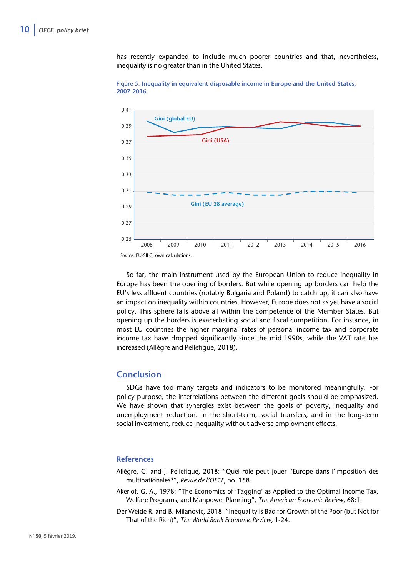has recently expanded to include much poorer countries and that, nevertheless, inequality is no greater than in the United States.





So far, the main instrument used by the European Union to reduce inequality in Europe has been the opening of borders. But while opening up borders can help the EU's less affluent countries (notably Bulgaria and Poland) to catch up, it can also have an impact on inequality within countries. However, Europe does not as yet have a social policy. This sphere falls above all within the competence of the Member States. But opening up the borders is exacerbating social and fiscal competition. For instance, in most EU countries the higher marginal rates of personal income tax and corporate income tax have dropped significantly since the mid-1990s, while the VAT rate has increased (Allègre and Pellefigue, 2018).

## **Conclusion**

SDGs have too many targets and indicators to be monitored meaningfully. For policy purpose, the interrelations between the different goals should be emphasized. We have shown that synergies exist between the goals of poverty, inequality and unemployment reduction. In the short-term, social transfers, and in the long-term social investment, reduce inequality without adverse employment effects.

## **References**

- Allègre, G. and J. Pellefigue, 2018: "Quel rôle peut jouer l'Europe dans l'imposition des multinationales?", *Revue de l'OFCE*, no. 158.
- Akerlof, G. A., 1978: "The Economics of 'Tagging' as Applied to the Optimal Income Tax, Welfare Programs, and Manpower Planning", *The American Economic Review*, 68:1.
- Der Weide R. and B. Milanovic, 2018: "Inequality is Bad for Growth of the Poor (but Not for That of the Rich)", *The World Bank Economic Review*, 1-24.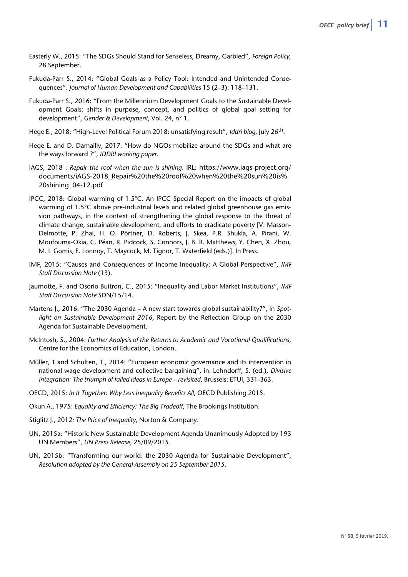- Easterly W., 2015: "The SDGs Should Stand for Senseless, Dreamy, Garbled", *Foreign Policy*, 28 September.
- Fukuda-Parr S., 2014: "Global Goals as a Policy Tool: Intended and Unintended Consequences". *Journal of Human Development and Capabilities* 15 (2–3): 118–131.
- Fukuda-Parr S., 2016: "From the Millennium Development Goals to the Sustainable Development Goals: shifts in purpose, concept, and politics of global goal setting for development", *Gender & Development*, Vol. 24, n° 1.
- Hege E., 2018: "High-Level Political Forum 2018: unsatisfying result", *Iddri blog*, July 26th.
- Hege E. and D. Damailly, 2017: "How do NGOs mobilize around the SDGs and what are the ways forward ?", *IDDRI working paper*.
- IAGS, 2018 : *Repair the roof when the sun is shining*. IRL: [https://www.iags-project.org/](https://www.iags-project.org/documents/iAGS-2018_Repair%20the%20roof%20when%20the%20sun%20is%20shining_04-12.pdf) [documents/iAGS-2018\\_Repair%20the%20roof%20when%20the%20sun%20is%](https://www.iags-project.org/documents/iAGS-2018_Repair%20the%20roof%20when%20the%20sun%20is%20shining_04-12.pdf)  20shining\_04-12.pdf
- IPCC, 2018: Global warming of 1.5°C. An IPCC Special Report on the impacts of global warming of 1.5°C above pre-industrial levels and related global greenhouse gas emission pathways, in the context of strengthening the global response to the threat of climate change, sustainable development, and efforts to eradicate poverty [V. Masson-Delmotte, P. Zhai, H. O. Pörtner, D. Roberts, J. Skea, P.R. Shukla, A. Pirani, W. Moufouma-Okia, C. Péan, R. Pidcock, S. Connors, J. B. R. Matthews, Y. Chen, X. Zhou, M. I. Gomis, E. Lonnoy, T. Maycock, M. Tignor, T. Waterfield (eds.)]. In Press.
- IMF, 2015: "Causes and Consequences of Income Inequality: A Global Perspective", *IMF Staff Discussion Note* (13).
- Jaumotte, F. and Osorio Buitron, C., 2015: "Inequality and Labor Market Institutions", *IMF Staff Discussion Note* SDN/15/14.
- Martens J., 2016: "The 2030 Agenda A new start towards global sustainability?", in *Spotlight on Sustainable Development 2016*, Report by the Reflection Group on the 2030 Agenda for Sustainable Development.
- McIntosh, S., 2004: *Further Analysis of the Returns to Academic and Vocational Qualifications*, Centre for the Economics of Education, London.
- Müller, T and Schulten, T., 2014: "European economic governance and its intervention in national wage development and collective bargaining", in: Lehndorff, S. (ed.), *Divisive integration: The triumph of failed ideas in Europe – revisited*, Brussels: ETUI, 331-363.
- OECD, 2015: *In It Together: Why Less Inequality Benefits All*, OECD Publishing 2015.
- Okun A., 1975: *Equality and Efficiency: The Big Tradeoff*, The Brookings Institution.
- Stiglitz J., 2012*: The Price of Inequality*, Norton & Company.
- UN, 2015a: "Historic New Sustainable Development Agenda Unanimously Adopted by 193 UN Members", *UN Press Release*, 25/09/2015.
- UN, 2015b: "Transforming our world: the 2030 Agenda for Sustainable Development", *Resolution adopted by the General Assembly on 25 September 2015.*